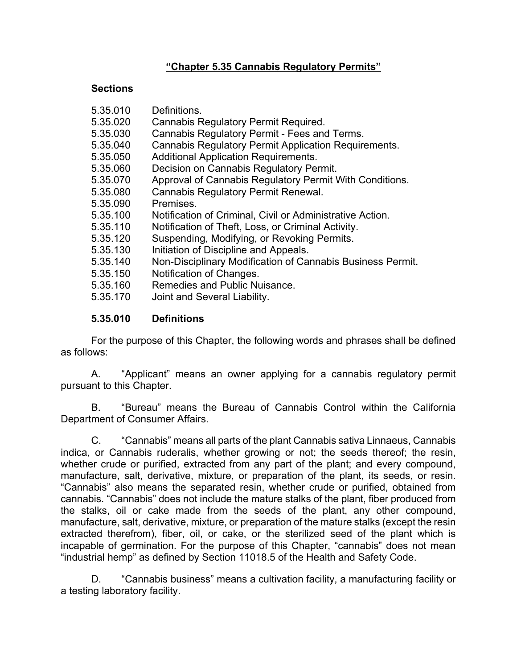### **"Chapter 5.35 Cannabis Regulatory Permits"**

#### **Sections**

| 5.35.010 | Definitions.                                                |
|----------|-------------------------------------------------------------|
| 5.35.020 | Cannabis Regulatory Permit Required.                        |
| 5.35.030 | Cannabis Regulatory Permit - Fees and Terms.                |
| 5.35.040 | <b>Cannabis Regulatory Permit Application Requirements.</b> |
| 5.35.050 | <b>Additional Application Requirements.</b>                 |
| 5.35.060 | Decision on Cannabis Regulatory Permit.                     |
| 5.35.070 | Approval of Cannabis Regulatory Permit With Conditions.     |
| 5.35.080 | <b>Cannabis Regulatory Permit Renewal.</b>                  |
| 5.35.090 | Premises.                                                   |
| 5.35.100 | Notification of Criminal, Civil or Administrative Action.   |
| 5.35.110 | Notification of Theft, Loss, or Criminal Activity.          |
| 5.35.120 | Suspending, Modifying, or Revoking Permits.                 |
| 5.35.130 | Initiation of Discipline and Appeals.                       |
| 5.35.140 | Non-Disciplinary Modification of Cannabis Business Permit.  |
| 5.35.150 | Notification of Changes.                                    |
| 5.35.160 | Remedies and Public Nuisance.                               |
| 5.35.170 | Joint and Several Liability.                                |
|          |                                                             |

#### **5.35.010 Definitions**

For the purpose of this Chapter, the following words and phrases shall be defined as follows:

A. "Applicant" means an owner applying for a cannabis regulatory permit pursuant to this Chapter.

B. "Bureau" means the Bureau of Cannabis Control within the California Department of Consumer Affairs.

C. "Cannabis" means all parts of the plant Cannabis sativa Linnaeus, Cannabis indica, or Cannabis ruderalis, whether growing or not; the seeds thereof; the resin, whether crude or purified, extracted from any part of the plant; and every compound, manufacture, salt, derivative, mixture, or preparation of the plant, its seeds, or resin. "Cannabis" also means the separated resin, whether crude or purified, obtained from cannabis. "Cannabis" does not include the mature stalks of the plant, fiber produced from the stalks, oil or cake made from the seeds of the plant, any other compound, manufacture, salt, derivative, mixture, or preparation of the mature stalks (except the resin extracted therefrom), fiber, oil, or cake, or the sterilized seed of the plant which is incapable of germination. For the purpose of this Chapter, "cannabis" does not mean "industrial hemp" as defined by Section 11018.5 of the Health and Safety Code.

D. "Cannabis business" means a cultivation facility, a manufacturing facility or a testing laboratory facility.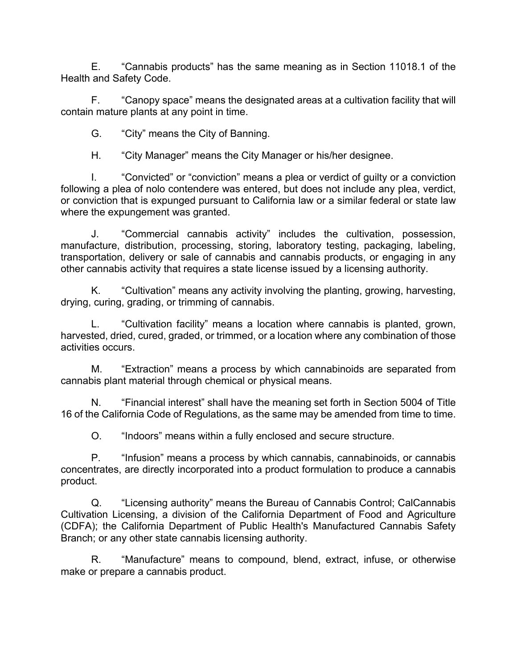E. "Cannabis products" has the same meaning as in Section 11018.1 of the Health and Safety Code.

F. "Canopy space" means the designated areas at a cultivation facility that will contain mature plants at any point in time.

G. "City" means the City of Banning.

H. "City Manager" means the City Manager or his/her designee.

I. "Convicted" or "conviction" means a plea or verdict of guilty or a conviction following a plea of nolo contendere was entered, but does not include any plea, verdict, or conviction that is expunged pursuant to California law or a similar federal or state law where the expungement was granted.

J. "Commercial cannabis activity" includes the cultivation, possession, manufacture, distribution, processing, storing, laboratory testing, packaging, labeling, transportation, delivery or sale of cannabis and cannabis products, or engaging in any other cannabis activity that requires a state license issued by a licensing authority.

K. "Cultivation" means any activity involving the planting, growing, harvesting, drying, curing, grading, or trimming of cannabis.

L. "Cultivation facility" means a location where cannabis is planted, grown, harvested, dried, cured, graded, or trimmed, or a location where any combination of those activities occurs.

M. "Extraction" means a process by which cannabinoids are separated from cannabis plant material through chemical or physical means.

N. "Financial interest" shall have the meaning set forth in Section 5004 of Title 16 of the California Code of Regulations, as the same may be amended from time to time.

O. "Indoors" means within a fully enclosed and secure structure.

P. "Infusion" means a process by which cannabis, cannabinoids, or cannabis concentrates, are directly incorporated into a product formulation to produce a cannabis product.

Q. "Licensing authority" means the Bureau of Cannabis Control; CalCannabis Cultivation Licensing, a division of the California Department of Food and Agriculture (CDFA); the California Department of Public Health's Manufactured Cannabis Safety Branch; or any other state cannabis licensing authority.

R. "Manufacture" means to compound, blend, extract, infuse, or otherwise make or prepare a cannabis product.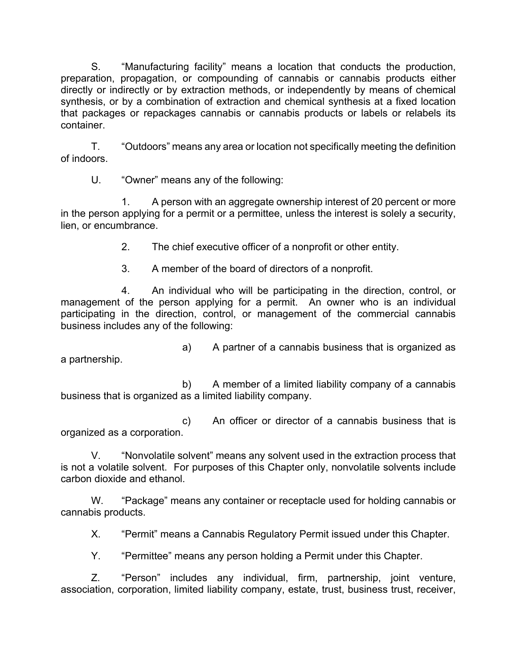S. "Manufacturing facility" means a location that conducts the production, preparation, propagation, or compounding of cannabis or cannabis products either directly or indirectly or by extraction methods, or independently by means of chemical synthesis, or by a combination of extraction and chemical synthesis at a fixed location that packages or repackages cannabis or cannabis products or labels or relabels its container.

T. "Outdoors" means any area or location not specifically meeting the definition of indoors.

U. "Owner" means any of the following:

1. A person with an aggregate ownership interest of 20 percent or more in the person applying for a permit or a permittee, unless the interest is solely a security, lien, or encumbrance.

2. The chief executive officer of a nonprofit or other entity.

3. A member of the board of directors of a nonprofit.

4. An individual who will be participating in the direction, control, or management of the person applying for a permit. An owner who is an individual participating in the direction, control, or management of the commercial cannabis business includes any of the following:

a) A partner of a cannabis business that is organized as a partnership.

b) A member of a limited liability company of a cannabis business that is organized as a limited liability company.

c) An officer or director of a cannabis business that is organized as a corporation.

V. "Nonvolatile solvent" means any solvent used in the extraction process that is not a volatile solvent. For purposes of this Chapter only, nonvolatile solvents include carbon dioxide and ethanol.

W. "Package" means any container or receptacle used for holding cannabis or cannabis products.

X. "Permit" means a Cannabis Regulatory Permit issued under this Chapter.

Y. "Permittee" means any person holding a Permit under this Chapter.

Z. "Person" includes any individual, firm, partnership, joint venture, association, corporation, limited liability company, estate, trust, business trust, receiver,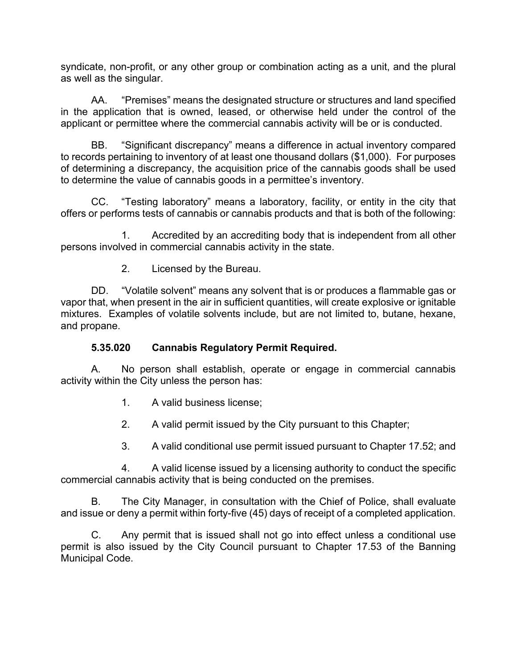syndicate, non-profit, or any other group or combination acting as a unit, and the plural as well as the singular.

AA. "Premises" means the designated structure or structures and land specified in the application that is owned, leased, or otherwise held under the control of the applicant or permittee where the commercial cannabis activity will be or is conducted.

BB. "Significant discrepancy" means a difference in actual inventory compared to records pertaining to inventory of at least one thousand dollars (\$1,000). For purposes of determining a discrepancy, the acquisition price of the cannabis goods shall be used to determine the value of cannabis goods in a permittee's inventory.

CC. "Testing laboratory" means a laboratory, facility, or entity in the city that offers or performs tests of cannabis or cannabis products and that is both of the following:

1. Accredited by an accrediting body that is independent from all other persons involved in commercial cannabis activity in the state.

2. Licensed by the Bureau.

DD. "Volatile solvent" means any solvent that is or produces a flammable gas or vapor that, when present in the air in sufficient quantities, will create explosive or ignitable mixtures. Examples of volatile solvents include, but are not limited to, butane, hexane, and propane.

### **5.35.020 Cannabis Regulatory Permit Required.**

A. No person shall establish, operate or engage in commercial cannabis activity within the City unless the person has:

- 1. A valid business license;
- 2. A valid permit issued by the City pursuant to this Chapter;
- 3. A valid conditional use permit issued pursuant to Chapter 17.52; and

4. A valid license issued by a licensing authority to conduct the specific commercial cannabis activity that is being conducted on the premises.

B. The City Manager, in consultation with the Chief of Police, shall evaluate and issue or deny a permit within forty-five (45) days of receipt of a completed application.

C. Any permit that is issued shall not go into effect unless a conditional use permit is also issued by the City Council pursuant to Chapter 17.53 of the Banning Municipal Code.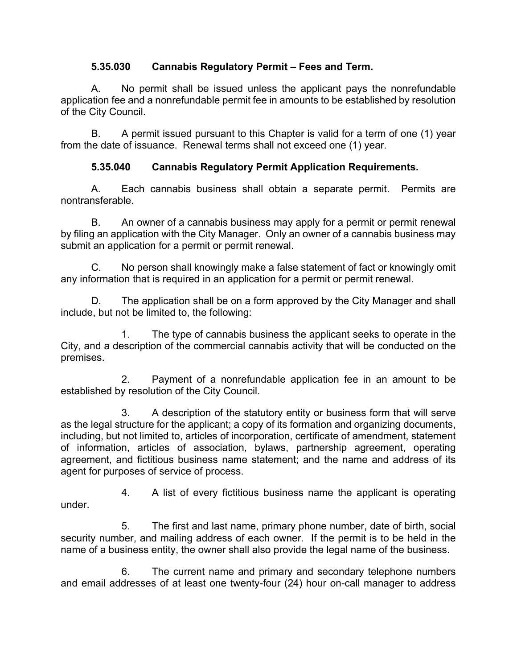### **5.35.030 Cannabis Regulatory Permit – Fees and Term.**

A. No permit shall be issued unless the applicant pays the nonrefundable application fee and a nonrefundable permit fee in amounts to be established by resolution of the City Council.

B. A permit issued pursuant to this Chapter is valid for a term of one (1) year from the date of issuance. Renewal terms shall not exceed one (1) year.

## **5.35.040 Cannabis Regulatory Permit Application Requirements.**

A. Each cannabis business shall obtain a separate permit. Permits are nontransferable.

B. An owner of a cannabis business may apply for a permit or permit renewal by filing an application with the City Manager. Only an owner of a cannabis business may submit an application for a permit or permit renewal.

C. No person shall knowingly make a false statement of fact or knowingly omit any information that is required in an application for a permit or permit renewal.

D. The application shall be on a form approved by the City Manager and shall include, but not be limited to, the following:

1. The type of cannabis business the applicant seeks to operate in the City, and a description of the commercial cannabis activity that will be conducted on the premises.

2. Payment of a nonrefundable application fee in an amount to be established by resolution of the City Council.

3. A description of the statutory entity or business form that will serve as the legal structure for the applicant; a copy of its formation and organizing documents, including, but not limited to, articles of incorporation, certificate of amendment, statement of information, articles of association, bylaws, partnership agreement, operating agreement, and fictitious business name statement; and the name and address of its agent for purposes of service of process.

4. A list of every fictitious business name the applicant is operating under.

5. The first and last name, primary phone number, date of birth, social security number, and mailing address of each owner. If the permit is to be held in the name of a business entity, the owner shall also provide the legal name of the business.

6. The current name and primary and secondary telephone numbers and email addresses of at least one twenty-four (24) hour on-call manager to address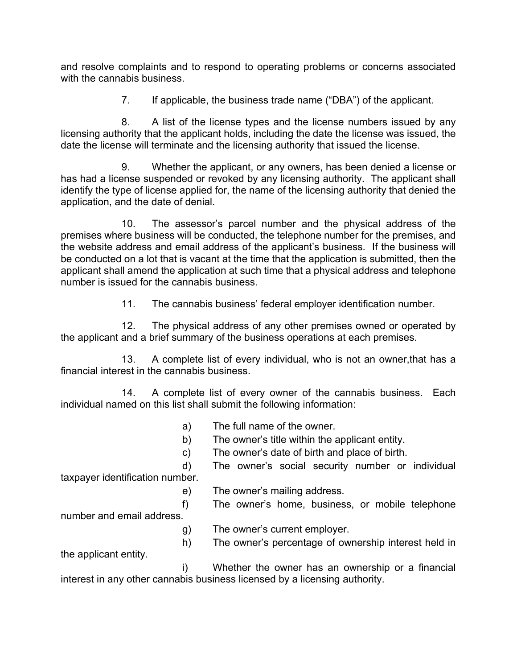and resolve complaints and to respond to operating problems or concerns associated with the cannabis business.

7. If applicable, the business trade name ("DBA") of the applicant.

8. A list of the license types and the license numbers issued by any licensing authority that the applicant holds, including the date the license was issued, the date the license will terminate and the licensing authority that issued the license.

9. Whether the applicant, or any owners, has been denied a license or has had a license suspended or revoked by any licensing authority. The applicant shall identify the type of license applied for, the name of the licensing authority that denied the application, and the date of denial.

10. The assessor's parcel number and the physical address of the premises where business will be conducted, the telephone number for the premises, and the website address and email address of the applicant's business. If the business will be conducted on a lot that is vacant at the time that the application is submitted, then the applicant shall amend the application at such time that a physical address and telephone number is issued for the cannabis business.

11. The cannabis business' federal employer identification number.

12. The physical address of any other premises owned or operated by the applicant and a brief summary of the business operations at each premises.

13. A complete list of every individual, who is not an owner,that has a financial interest in the cannabis business.

14. A complete list of every owner of the cannabis business. Each individual named on this list shall submit the following information:

- a) The full name of the owner.
- b) The owner's title within the applicant entity.
- c) The owner's date of birth and place of birth.

d) The owner's social security number or individual taxpayer identification number.

e) The owner's mailing address.

f) The owner's home, business, or mobile telephone

number and email address.

g) The owner's current employer.

h) The owner's percentage of ownership interest held in the applicant entity.

i) Whether the owner has an ownership or a financial interest in any other cannabis business licensed by a licensing authority.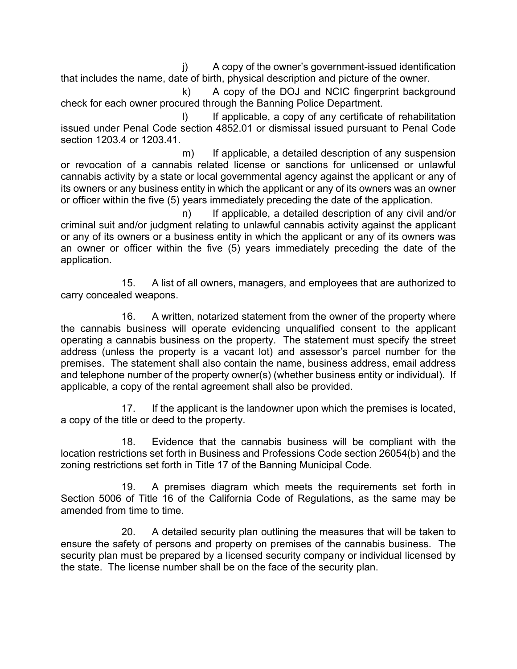j) A copy of the owner's government-issued identification that includes the name, date of birth, physical description and picture of the owner.

k) A copy of the DOJ and NCIC fingerprint background check for each owner procured through the Banning Police Department.

I) If applicable, a copy of any certificate of rehabilitation issued under Penal Code section 4852.01 or dismissal issued pursuant to Penal Code section 1203.4 or 1203.41.

m) If applicable, a detailed description of any suspension or revocation of a cannabis related license or sanctions for unlicensed or unlawful cannabis activity by a state or local governmental agency against the applicant or any of its owners or any business entity in which the applicant or any of its owners was an owner or officer within the five (5) years immediately preceding the date of the application.

n) If applicable, a detailed description of any civil and/or criminal suit and/or judgment relating to unlawful cannabis activity against the applicant or any of its owners or a business entity in which the applicant or any of its owners was an owner or officer within the five (5) years immediately preceding the date of the application.

15. A list of all owners, managers, and employees that are authorized to carry concealed weapons.

16. A written, notarized statement from the owner of the property where the cannabis business will operate evidencing unqualified consent to the applicant operating a cannabis business on the property. The statement must specify the street address (unless the property is a vacant lot) and assessor's parcel number for the premises. The statement shall also contain the name, business address, email address and telephone number of the property owner(s) (whether business entity or individual). If applicable, a copy of the rental agreement shall also be provided.

17. If the applicant is the landowner upon which the premises is located, a copy of the title or deed to the property.

18. Evidence that the cannabis business will be compliant with the location restrictions set forth in Business and Professions Code section 26054(b) and the zoning restrictions set forth in Title 17 of the Banning Municipal Code.

19. A premises diagram which meets the requirements set forth in Section 5006 of Title 16 of the California Code of Regulations, as the same may be amended from time to time.

20. A detailed security plan outlining the measures that will be taken to ensure the safety of persons and property on premises of the cannabis business. The security plan must be prepared by a licensed security company or individual licensed by the state. The license number shall be on the face of the security plan.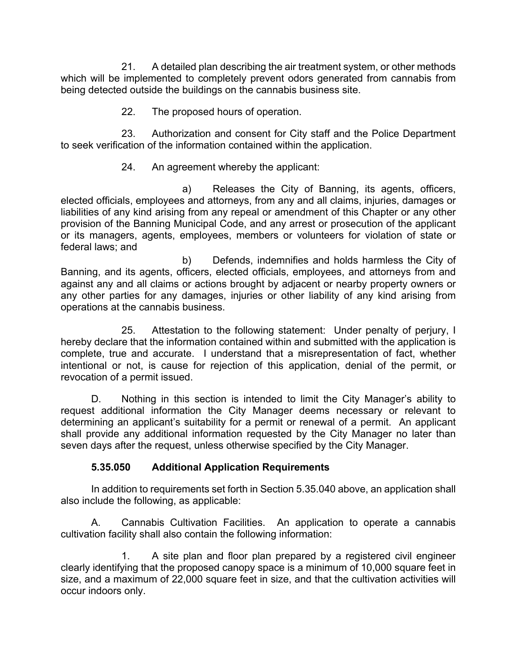21. A detailed plan describing the air treatment system, or other methods which will be implemented to completely prevent odors generated from cannabis from being detected outside the buildings on the cannabis business site.

22. The proposed hours of operation.

23. Authorization and consent for City staff and the Police Department to seek verification of the information contained within the application.

### 24. An agreement whereby the applicant:

a) Releases the City of Banning, its agents, officers, elected officials, employees and attorneys, from any and all claims, injuries, damages or liabilities of any kind arising from any repeal or amendment of this Chapter or any other provision of the Banning Municipal Code, and any arrest or prosecution of the applicant or its managers, agents, employees, members or volunteers for violation of state or federal laws; and

b) Defends, indemnifies and holds harmless the City of Banning, and its agents, officers, elected officials, employees, and attorneys from and against any and all claims or actions brought by adjacent or nearby property owners or any other parties for any damages, injuries or other liability of any kind arising from operations at the cannabis business.

25. Attestation to the following statement: Under penalty of perjury, I hereby declare that the information contained within and submitted with the application is complete, true and accurate. I understand that a misrepresentation of fact, whether intentional or not, is cause for rejection of this application, denial of the permit, or revocation of a permit issued.

D. Nothing in this section is intended to limit the City Manager's ability to request additional information the City Manager deems necessary or relevant to determining an applicant's suitability for a permit or renewal of a permit. An applicant shall provide any additional information requested by the City Manager no later than seven days after the request, unless otherwise specified by the City Manager.

### **5.35.050 Additional Application Requirements**

In addition to requirements set forth in Section 5.35.040 above, an application shall also include the following, as applicable:

A. Cannabis Cultivation Facilities. An application to operate a cannabis cultivation facility shall also contain the following information:

1. A site plan and floor plan prepared by a registered civil engineer clearly identifying that the proposed canopy space is a minimum of 10,000 square feet in size, and a maximum of 22,000 square feet in size, and that the cultivation activities will occur indoors only.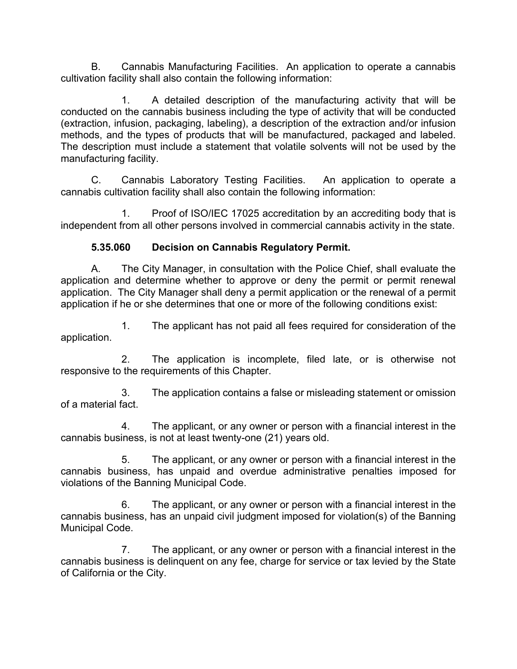B. Cannabis Manufacturing Facilities. An application to operate a cannabis cultivation facility shall also contain the following information:

1. A detailed description of the manufacturing activity that will be conducted on the cannabis business including the type of activity that will be conducted (extraction, infusion, packaging, labeling), a description of the extraction and/or infusion methods, and the types of products that will be manufactured, packaged and labeled. The description must include a statement that volatile solvents will not be used by the manufacturing facility.

C. Cannabis Laboratory Testing Facilities. An application to operate a cannabis cultivation facility shall also contain the following information:

1. Proof of ISO/IEC 17025 accreditation by an accrediting body that is independent from all other persons involved in commercial cannabis activity in the state.

### **5.35.060 Decision on Cannabis Regulatory Permit.**

A. The City Manager, in consultation with the Police Chief, shall evaluate the application and determine whether to approve or deny the permit or permit renewal application. The City Manager shall deny a permit application or the renewal of a permit application if he or she determines that one or more of the following conditions exist:

1. The applicant has not paid all fees required for consideration of the application.

2. The application is incomplete, filed late, or is otherwise not responsive to the requirements of this Chapter.

3. The application contains a false or misleading statement or omission of a material fact.

4. The applicant, or any owner or person with a financial interest in the cannabis business, is not at least twenty-one (21) years old.

5. The applicant, or any owner or person with a financial interest in the cannabis business, has unpaid and overdue administrative penalties imposed for violations of the Banning Municipal Code.

6. The applicant, or any owner or person with a financial interest in the cannabis business, has an unpaid civil judgment imposed for violation(s) of the Banning Municipal Code.

7. The applicant, or any owner or person with a financial interest in the cannabis business is delinquent on any fee, charge for service or tax levied by the State of California or the City.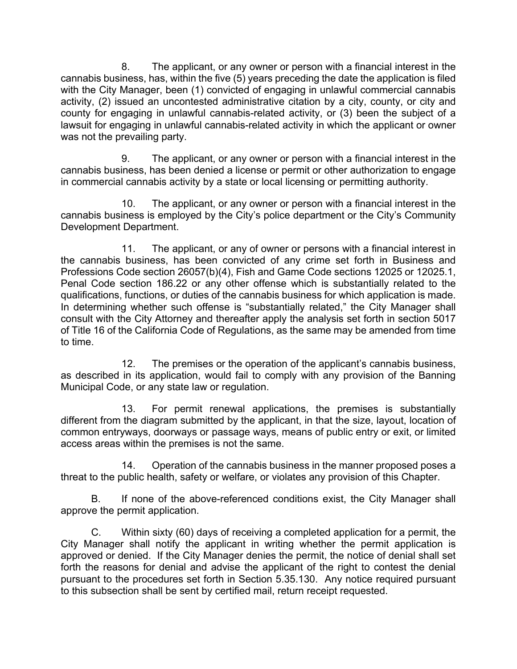8. The applicant, or any owner or person with a financial interest in the cannabis business, has, within the five (5) years preceding the date the application is filed with the City Manager, been (1) convicted of engaging in unlawful commercial cannabis activity, (2) issued an uncontested administrative citation by a city, county, or city and county for engaging in unlawful cannabis-related activity, or (3) been the subject of a lawsuit for engaging in unlawful cannabis-related activity in which the applicant or owner was not the prevailing party.

9. The applicant, or any owner or person with a financial interest in the cannabis business, has been denied a license or permit or other authorization to engage in commercial cannabis activity by a state or local licensing or permitting authority.

10. The applicant, or any owner or person with a financial interest in the cannabis business is employed by the City's police department or the City's Community Development Department.

11. The applicant, or any of owner or persons with a financial interest in the cannabis business, has been convicted of any crime set forth in Business and Professions Code section 26057(b)(4), Fish and Game Code sections 12025 or 12025.1, Penal Code section 186.22 or any other offense which is substantially related to the qualifications, functions, or duties of the cannabis business for which application is made. In determining whether such offense is "substantially related," the City Manager shall consult with the City Attorney and thereafter apply the analysis set forth in section 5017 of Title 16 of the California Code of Regulations, as the same may be amended from time to time.

12. The premises or the operation of the applicant's cannabis business, as described in its application, would fail to comply with any provision of the Banning Municipal Code, or any state law or regulation.

13. For permit renewal applications, the premises is substantially different from the diagram submitted by the applicant, in that the size, layout, location of common entryways, doorways or passage ways, means of public entry or exit, or limited access areas within the premises is not the same.

14. Operation of the cannabis business in the manner proposed poses a threat to the public health, safety or welfare, or violates any provision of this Chapter.

B. If none of the above-referenced conditions exist, the City Manager shall approve the permit application.

C. Within sixty (60) days of receiving a completed application for a permit, the City Manager shall notify the applicant in writing whether the permit application is approved or denied. If the City Manager denies the permit, the notice of denial shall set forth the reasons for denial and advise the applicant of the right to contest the denial pursuant to the procedures set forth in Section 5.35.130. Any notice required pursuant to this subsection shall be sent by certified mail, return receipt requested.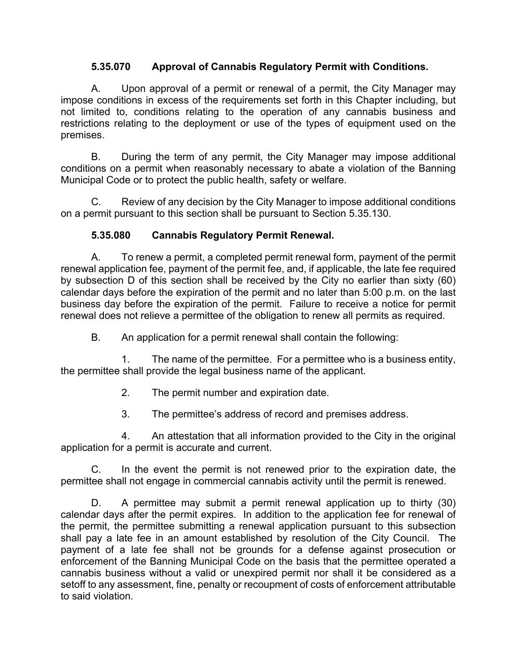### **5.35.070 Approval of Cannabis Regulatory Permit with Conditions.**

A. Upon approval of a permit or renewal of a permit, the City Manager may impose conditions in excess of the requirements set forth in this Chapter including, but not limited to, conditions relating to the operation of any cannabis business and restrictions relating to the deployment or use of the types of equipment used on the premises.

B. During the term of any permit, the City Manager may impose additional conditions on a permit when reasonably necessary to abate a violation of the Banning Municipal Code or to protect the public health, safety or welfare.

C. Review of any decision by the City Manager to impose additional conditions on a permit pursuant to this section shall be pursuant to Section 5.35.130.

### **5.35.080 Cannabis Regulatory Permit Renewal.**

A. To renew a permit, a completed permit renewal form, payment of the permit renewal application fee, payment of the permit fee, and, if applicable, the late fee required by subsection D of this section shall be received by the City no earlier than sixty (60) calendar days before the expiration of the permit and no later than 5:00 p.m. on the last business day before the expiration of the permit. Failure to receive a notice for permit renewal does not relieve a permittee of the obligation to renew all permits as required.

B. An application for a permit renewal shall contain the following:

1. The name of the permittee. For a permittee who is a business entity, the permittee shall provide the legal business name of the applicant.

- 2. The permit number and expiration date.
- 3. The permittee's address of record and premises address.

4. An attestation that all information provided to the City in the original application for a permit is accurate and current.

C. In the event the permit is not renewed prior to the expiration date, the permittee shall not engage in commercial cannabis activity until the permit is renewed.

D. A permittee may submit a permit renewal application up to thirty (30) calendar days after the permit expires. In addition to the application fee for renewal of the permit, the permittee submitting a renewal application pursuant to this subsection shall pay a late fee in an amount established by resolution of the City Council. The payment of a late fee shall not be grounds for a defense against prosecution or enforcement of the Banning Municipal Code on the basis that the permittee operated a cannabis business without a valid or unexpired permit nor shall it be considered as a setoff to any assessment, fine, penalty or recoupment of costs of enforcement attributable to said violation.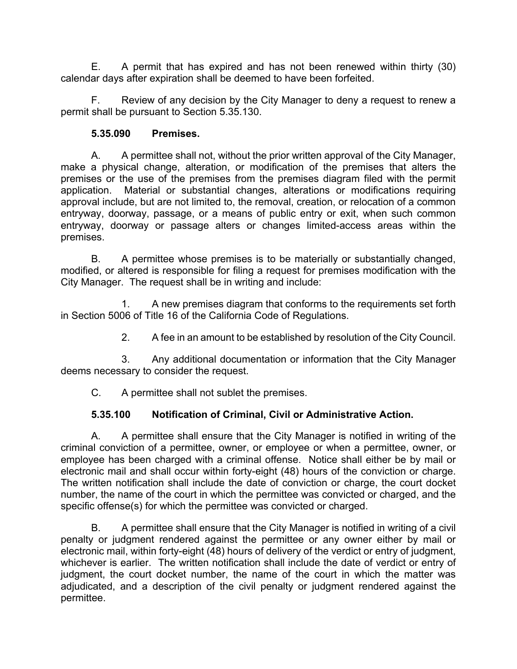E. A permit that has expired and has not been renewed within thirty (30) calendar days after expiration shall be deemed to have been forfeited.

F. Review of any decision by the City Manager to deny a request to renew a permit shall be pursuant to Section 5.35.130.

### **5.35.090 Premises.**

A. A permittee shall not, without the prior written approval of the City Manager, make a physical change, alteration, or modification of the premises that alters the premises or the use of the premises from the premises diagram filed with the permit application. Material or substantial changes, alterations or modifications requiring approval include, but are not limited to, the removal, creation, or relocation of a common entryway, doorway, passage, or a means of public entry or exit, when such common entryway, doorway or passage alters or changes limited-access areas within the premises.

B. A permittee whose premises is to be materially or substantially changed, modified, or altered is responsible for filing a request for premises modification with the City Manager. The request shall be in writing and include:

1. A new premises diagram that conforms to the requirements set forth in Section 5006 of Title 16 of the California Code of Regulations.

2. A fee in an amount to be established by resolution of the City Council.

3. Any additional documentation or information that the City Manager deems necessary to consider the request.

C. A permittee shall not sublet the premises.

# **5.35.100 Notification of Criminal, Civil or Administrative Action.**

A. A permittee shall ensure that the City Manager is notified in writing of the criminal conviction of a permittee, owner, or employee or when a permittee, owner, or employee has been charged with a criminal offense. Notice shall either be by mail or electronic mail and shall occur within forty-eight (48) hours of the conviction or charge. The written notification shall include the date of conviction or charge, the court docket number, the name of the court in which the permittee was convicted or charged, and the specific offense(s) for which the permittee was convicted or charged.

B. A permittee shall ensure that the City Manager is notified in writing of a civil penalty or judgment rendered against the permittee or any owner either by mail or electronic mail, within forty-eight (48) hours of delivery of the verdict or entry of judgment, whichever is earlier. The written notification shall include the date of verdict or entry of judgment, the court docket number, the name of the court in which the matter was adjudicated, and a description of the civil penalty or judgment rendered against the permittee.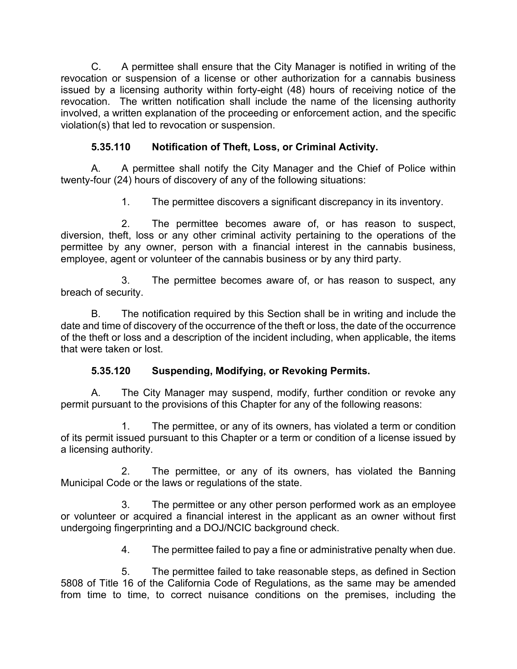C. A permittee shall ensure that the City Manager is notified in writing of the revocation or suspension of a license or other authorization for a cannabis business issued by a licensing authority within forty-eight (48) hours of receiving notice of the revocation. The written notification shall include the name of the licensing authority involved, a written explanation of the proceeding or enforcement action, and the specific violation(s) that led to revocation or suspension.

# **5.35.110 Notification of Theft, Loss, or Criminal Activity.**

A. A permittee shall notify the City Manager and the Chief of Police within twenty-four (24) hours of discovery of any of the following situations:

1. The permittee discovers a significant discrepancy in its inventory.

2. The permittee becomes aware of, or has reason to suspect, diversion, theft, loss or any other criminal activity pertaining to the operations of the permittee by any owner, person with a financial interest in the cannabis business, employee, agent or volunteer of the cannabis business or by any third party.

3. The permittee becomes aware of, or has reason to suspect, any breach of security.

B. The notification required by this Section shall be in writing and include the date and time of discovery of the occurrence of the theft or loss, the date of the occurrence of the theft or loss and a description of the incident including, when applicable, the items that were taken or lost.

### **5.35.120 Suspending, Modifying, or Revoking Permits.**

A. The City Manager may suspend, modify, further condition or revoke any permit pursuant to the provisions of this Chapter for any of the following reasons:

The permittee, or any of its owners, has violated a term or condition of its permit issued pursuant to this Chapter or a term or condition of a license issued by a licensing authority.

2. The permittee, or any of its owners, has violated the Banning Municipal Code or the laws or regulations of the state.

3. The permittee or any other person performed work as an employee or volunteer or acquired a financial interest in the applicant as an owner without first undergoing fingerprinting and a DOJ/NCIC background check.

4. The permittee failed to pay a fine or administrative penalty when due.

5. The permittee failed to take reasonable steps, as defined in Section 5808 of Title 16 of the California Code of Regulations, as the same may be amended from time to time, to correct nuisance conditions on the premises, including the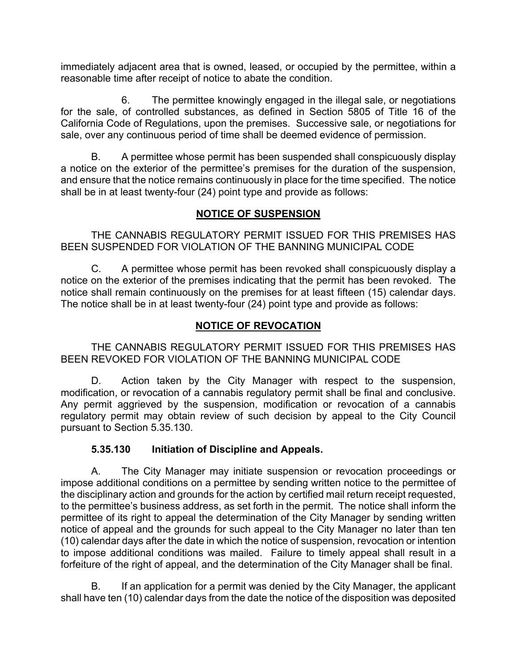immediately adjacent area that is owned, leased, or occupied by the permittee, within a reasonable time after receipt of notice to abate the condition.

6. The permittee knowingly engaged in the illegal sale, or negotiations for the sale, of controlled substances, as defined in Section 5805 of Title 16 of the California Code of Regulations, upon the premises. Successive sale, or negotiations for sale, over any continuous period of time shall be deemed evidence of permission.

B. A permittee whose permit has been suspended shall conspicuously display a notice on the exterior of the permittee's premises for the duration of the suspension, and ensure that the notice remains continuously in place for the time specified. The notice shall be in at least twenty-four (24) point type and provide as follows:

### **NOTICE OF SUSPENSION**

THE CANNABIS REGULATORY PERMIT ISSUED FOR THIS PREMISES HAS BEEN SUSPENDED FOR VIOLATION OF THE BANNING MUNICIPAL CODE

C. A permittee whose permit has been revoked shall conspicuously display a notice on the exterior of the premises indicating that the permit has been revoked. The notice shall remain continuously on the premises for at least fifteen (15) calendar days. The notice shall be in at least twenty-four (24) point type and provide as follows:

# **NOTICE OF REVOCATION**

THE CANNABIS REGULATORY PERMIT ISSUED FOR THIS PREMISES HAS BEEN REVOKED FOR VIOLATION OF THE BANNING MUNICIPAL CODE

D. Action taken by the City Manager with respect to the suspension, modification, or revocation of a cannabis regulatory permit shall be final and conclusive. Any permit aggrieved by the suspension, modification or revocation of a cannabis regulatory permit may obtain review of such decision by appeal to the City Council pursuant to Section 5.35.130.

# **5.35.130 Initiation of Discipline and Appeals.**

A. The City Manager may initiate suspension or revocation proceedings or impose additional conditions on a permittee by sending written notice to the permittee of the disciplinary action and grounds for the action by certified mail return receipt requested, to the permittee's business address, as set forth in the permit. The notice shall inform the permittee of its right to appeal the determination of the City Manager by sending written notice of appeal and the grounds for such appeal to the City Manager no later than ten (10) calendar days after the date in which the notice of suspension, revocation or intention to impose additional conditions was mailed. Failure to timely appeal shall result in a forfeiture of the right of appeal, and the determination of the City Manager shall be final.

B. If an application for a permit was denied by the City Manager, the applicant shall have ten (10) calendar days from the date the notice of the disposition was deposited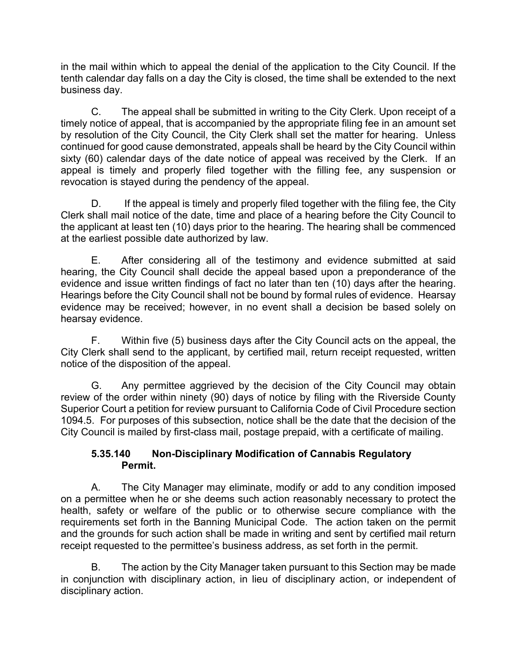in the mail within which to appeal the denial of the application to the City Council. If the tenth calendar day falls on a day the City is closed, the time shall be extended to the next business day.

C. The appeal shall be submitted in writing to the City Clerk. Upon receipt of a timely notice of appeal, that is accompanied by the appropriate filing fee in an amount set by resolution of the City Council, the City Clerk shall set the matter for hearing. Unless continued for good cause demonstrated, appeals shall be heard by the City Council within sixty (60) calendar days of the date notice of appeal was received by the Clerk. If an appeal is timely and properly filed together with the filling fee, any suspension or revocation is stayed during the pendency of the appeal.

D. If the appeal is timely and properly filed together with the filing fee, the City Clerk shall mail notice of the date, time and place of a hearing before the City Council to the applicant at least ten (10) days prior to the hearing. The hearing shall be commenced at the earliest possible date authorized by law.

E. After considering all of the testimony and evidence submitted at said hearing, the City Council shall decide the appeal based upon a preponderance of the evidence and issue written findings of fact no later than ten (10) days after the hearing. Hearings before the City Council shall not be bound by formal rules of evidence. Hearsay evidence may be received; however, in no event shall a decision be based solely on hearsay evidence.

F. Within five (5) business days after the City Council acts on the appeal, the City Clerk shall send to the applicant, by certified mail, return receipt requested, written notice of the disposition of the appeal.

G. Any permittee aggrieved by the decision of the City Council may obtain review of the order within ninety (90) days of notice by filing with the Riverside County Superior Court a petition for review pursuant to California Code of Civil Procedure section 1094.5. For purposes of this subsection, notice shall be the date that the decision of the City Council is mailed by first-class mail, postage prepaid, with a certificate of mailing.

#### **5.35.140 Non-Disciplinary Modification of Cannabis Regulatory Permit.**

A. The City Manager may eliminate, modify or add to any condition imposed on a permittee when he or she deems such action reasonably necessary to protect the health, safety or welfare of the public or to otherwise secure compliance with the requirements set forth in the Banning Municipal Code. The action taken on the permit and the grounds for such action shall be made in writing and sent by certified mail return receipt requested to the permittee's business address, as set forth in the permit.

B. The action by the City Manager taken pursuant to this Section may be made in conjunction with disciplinary action, in lieu of disciplinary action, or independent of disciplinary action.